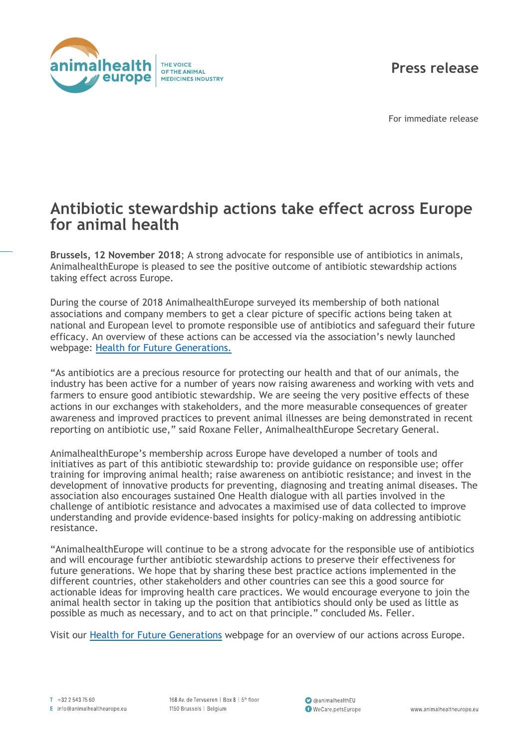

**Press release**

For immediate release

## **Antibiotic stewardship actions take effect across Europe for animal health**

**Brussels, 12 November 2018**; A strong advocate for responsible use of antibiotics in animals, AnimalhealthEurope is pleased to see the positive outcome of antibiotic stewardship actions taking effect across Europe.

During the course of 2018 AnimalhealthEurope surveyed its membership of both national associations and company members to get a clear picture of specific actions being taken at national and European level to promote responsible use of antibiotics and safeguard their future efficacy. An overview of these actions can be accessed via the association's newly launched webpage: [Health for Future Generations.](https://www.animalhealtheurope.eu/health_for_future_generations/)

"As antibiotics are a precious resource for protecting our health and that of our animals, the industry has been active for a number of years now raising awareness and working with vets and farmers to ensure good antibiotic stewardship. We are seeing the very positive effects of these actions in our exchanges with stakeholders, and the more measurable consequences of greater awareness and improved practices to prevent animal illnesses are being demonstrated in recent reporting on antibiotic use," said Roxane Feller, AnimalhealthEurope Secretary General.

AnimalhealthEurope's membership across Europe have developed a number of tools and initiatives as part of this antibiotic stewardship to: provide guidance on responsible use; offer training for improving animal health; raise awareness on antibiotic resistance; and invest in the development of innovative products for preventing, diagnosing and treating animal diseases. The association also encourages sustained One Health dialogue with all parties involved in the challenge of antibiotic resistance and advocates a maximised use of data collected to improve understanding and provide evidence-based insights for policy-making on addressing antibiotic resistance.

"AnimalhealthEurope will continue to be a strong advocate for the responsible use of antibiotics and will encourage further antibiotic stewardship actions to preserve their effectiveness for future generations. We hope that by sharing these best practice actions implemented in the different countries, other stakeholders and other countries can see this a good source for actionable ideas for improving health care practices. We would encourage everyone to join the animal health sector in taking up the position that antibiotics should only be used as little as possible as much as necessary, and to act on that principle." concluded Ms. Feller.

Visit our [Health for Future Generations](https://www.animalhealtheurope.eu/health_for_future_generations/) webpage for an overview of our actions across Europe.